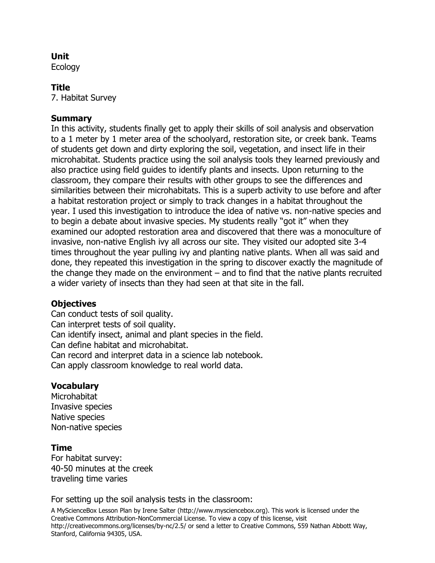#### **Unit**

Ecology

#### **Title**

7. Habitat Survey

#### **Summary**

In this activity, students finally get to apply their skills of soil analysis and observation to a 1 meter by 1 meter area of the schoolyard, restoration site, or creek bank. Teams of students get down and dirty exploring the soil, vegetation, and insect life in their microhabitat. Students practice using the soil analysis tools they learned previously and also practice using field guides to identify plants and insects. Upon returning to the classroom, they compare their results with other groups to see the differences and similarities between their microhabitats. This is a superb activity to use before and after a habitat restoration project or simply to track changes in a habitat throughout the year. I used this investigation to introduce the idea of native vs. non-native species and to begin a debate about invasive species. My students really "got it" when they examined our adopted restoration area and discovered that there was a monoculture of invasive, non-native English ivy all across our site. They visited our adopted site 3-4 times throughout the year pulling ivy and planting native plants. When all was said and done, they repeated this investigation in the spring to discover exactly the magnitude of the change they made on the environment – and to find that the native plants recruited a wider variety of insects than they had seen at that site in the fall.

### **Objectives**

Can conduct tests of soil quality. Can interpret tests of soil quality. Can identify insect, animal and plant species in the field. Can define habitat and microhabitat. Can record and interpret data in a science lab notebook. Can apply classroom knowledge to real world data.

### **Vocabulary**

**Microhabitat** Invasive species Native species Non-native species

#### **Time**

For habitat survey: 40-50 minutes at the creek traveling time varies

For setting up the soil analysis tests in the classroom: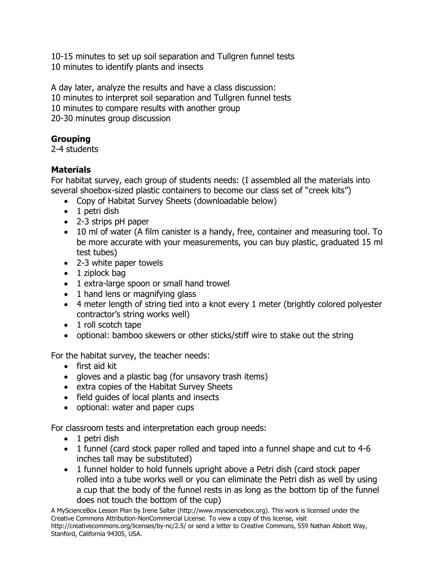10-15 minutes to set up soil separation and Tullgren funnel tests 10 minutes to identify plants and insects

A day later, analyze the results and have a class discussion: 10 minutes to interpret soil separation and Tullgren funnel tests 10 minutes to compare results with another group 20-30 minutes group discussion

# **Grouping**

2-4 students

# **Materials**

For habitat survey, each group of students needs: (I assembled all the materials into several shoebox-sized plastic containers to become our class set of "creek kits")

- Copy of Habitat Survey Sheets (downloadable below)
- $\bullet$  1 petri dish
- 2-3 strips pH paper
- 10 ml of water (A film canister is a handy, free, container and measuring tool. To be more accurate with your measurements, you can buy plastic, graduated 15 ml test tubes)
- 2-3 white paper towels
- $\bullet$  1 ziplock bag
- 1 extra-large spoon or small hand trowel
- 1 hand lens or magnifying glass
- 4 meter length of string tied into a knot every 1 meter (brightly colored polyester contractor's string works well)
- 1 roll scotch tape
- optional: bamboo skewers or other sticks/stiff wire to stake out the string

For the habitat survey, the teacher needs:

- first aid kit
- gloves and a plastic bag (for unsavory trash items)
- extra copies of the Habitat Survey Sheets
- field guides of local plants and insects
- optional: water and paper cups

For classroom tests and interpretation each group needs:

- $\bullet$  1 petri dish
- 1 funnel (card stock paper rolled and taped into a funnel shape and cut to 4-6 inches tall may be substituted)
- 1 funnel holder to hold funnels upright above a Petri dish (card stock paper rolled into a tube works well or you can eliminate the Petri dish as well by using a cup that the body of the funnel rests in as long as the bottom tip of the funnel does not touch the bottom of the cup)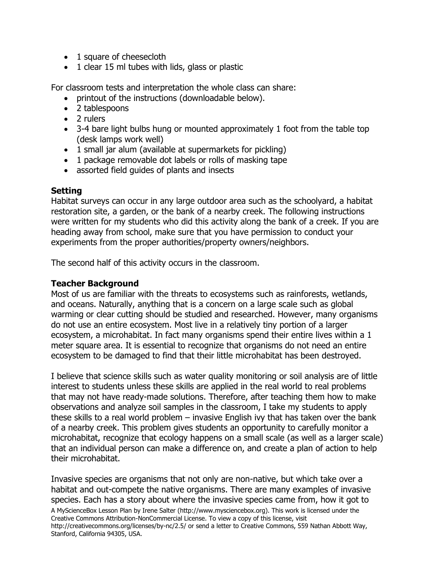- 1 square of cheesecloth
- 1 clear 15 ml tubes with lids, glass or plastic

For classroom tests and interpretation the whole class can share:

- printout of the instructions (downloadable below).
- 2 tablespoons
- 2 rulers
- 3-4 bare light bulbs hung or mounted approximately 1 foot from the table top (desk lamps work well)
- 1 small jar alum (available at supermarkets for pickling)
- 1 package removable dot labels or rolls of masking tape
- assorted field guides of plants and insects

#### **Setting**

Habitat surveys can occur in any large outdoor area such as the schoolyard, a habitat restoration site, a garden, or the bank of a nearby creek. The following instructions were written for my students who did this activity along the bank of a creek. If you are heading away from school, make sure that you have permission to conduct your experiments from the proper authorities/property owners/neighbors.

The second half of this activity occurs in the classroom.

#### **Teacher Background**

Most of us are familiar with the threats to ecosystems such as rainforests, wetlands, and oceans. Naturally, anything that is a concern on a large scale such as global warming or clear cutting should be studied and researched. However, many organisms do not use an entire ecosystem. Most live in a relatively tiny portion of a larger ecosystem, a microhabitat. In fact many organisms spend their entire lives within a 1 meter square area. It is essential to recognize that organisms do not need an entire ecosystem to be damaged to find that their little microhabitat has been destroyed.

I believe that science skills such as water quality monitoring or soil analysis are of little interest to students unless these skills are applied in the real world to real problems that may not have ready-made solutions. Therefore, after teaching them how to make observations and analyze soil samples in the classroom, I take my students to apply these skills to a real world problem – invasive English ivy that has taken over the bank of a nearby creek. This problem gives students an opportunity to carefully monitor a microhabitat, recognize that ecology happens on a small scale (as well as a larger scale) that an individual person can make a difference on, and create a plan of action to help their microhabitat.

A MyScienceBox Lesson Plan by Irene Salter (http://www.mysciencebox.org). This work is licensed under the Creative Commons Attribution-NonCommercial License. To view a copy of this license, visit http://creativecommons.org/licenses/by-nc/2.5/ or send a letter to Creative Commons, 559 Nathan Abbott Way, Stanford, California 94305, USA. Invasive species are organisms that not only are non-native, but which take over a habitat and out-compete the native organisms. There are many examples of invasive species. Each has a story about where the invasive species came from, how it got to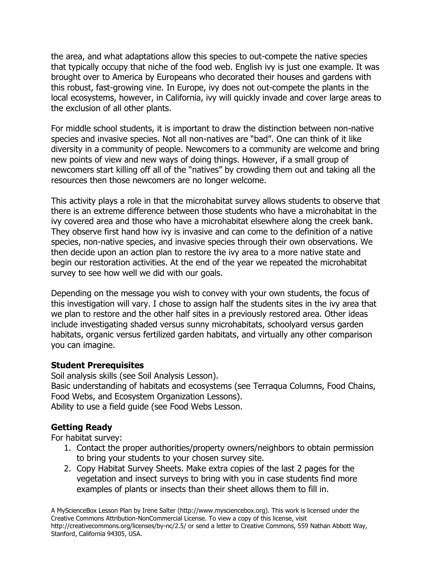the area, and what adaptations allow this species to out-compete the native species that typically occupy that niche of the food web. English ivy is just one example. It was brought over to America by Europeans who decorated their houses and gardens with this robust, fast-growing vine. In Europe, ivy does not out-compete the plants in the local ecosystems, however, in California, ivy will quickly invade and cover large areas to the exclusion of all other plants.

For middle school students, it is important to draw the distinction between non-native species and invasive species. Not all non-natives are "bad". One can think of it like diversity in a community of people. Newcomers to a community are welcome and bring new points of view and new ways of doing things. However, if a small group of newcomers start killing off all of the "natives" by crowding them out and taking all the resources then those newcomers are no longer welcome.

This activity plays a role in that the microhabitat survey allows students to observe that there is an extreme difference between those students who have a microhabitat in the ivy covered area and those who have a microhabitat elsewhere along the creek bank. They observe first hand how ivy is invasive and can come to the definition of a native species, non-native species, and invasive species through their own observations. We then decide upon an action plan to restore the ivy area to a more native state and begin our restoration activities. At the end of the year we repeated the microhabitat survey to see how well we did with our goals.

Depending on the message you wish to convey with your own students, the focus of this investigation will vary. I chose to assign half the students sites in the ivy area that we plan to restore and the other half sites in a previously restored area. Other ideas include investigating shaded versus sunny microhabitats, schoolyard versus garden habitats, organic versus fertilized garden habitats, and virtually any other comparison you can imagine.

### **Student Prerequisites**

Soil analysis skills (see Soil Analysis Lesson). Basic understanding of habitats and ecosystems (see Terraqua Columns, Food Chains, Food Webs, and Ecosystem Organization Lessons). Ability to use a field guide (see Food Webs Lesson.

### **Getting Ready**

For habitat survey:

- 1. Contact the proper authorities/property owners/neighbors to obtain permission to bring your students to your chosen survey site.
- 2. Copy Habitat Survey Sheets. Make extra copies of the last 2 pages for the vegetation and insect surveys to bring with you in case students find more examples of plants or insects than their sheet allows them to fill in.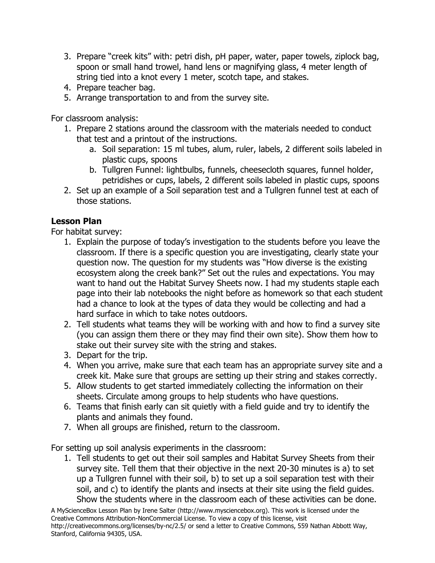- 3. Prepare "creek kits" with: petri dish, pH paper, water, paper towels, ziplock bag, spoon or small hand trowel, hand lens or magnifying glass, 4 meter length of string tied into a knot every 1 meter, scotch tape, and stakes.
- 4. Prepare teacher bag.
- 5. Arrange transportation to and from the survey site.

For classroom analysis:

- 1. Prepare 2 stations around the classroom with the materials needed to conduct that test and a printout of the instructions.
	- a. Soil separation: 15 ml tubes, alum, ruler, labels, 2 different soils labeled in plastic cups, spoons
	- b. Tullgren Funnel: lightbulbs, funnels, cheesecloth squares, funnel holder, petridishes or cups, labels, 2 different soils labeled in plastic cups, spoons
- 2. Set up an example of a Soil separation test and a Tullgren funnel test at each of those stations.

### **Lesson Plan**

For habitat survey:

- 1. Explain the purpose of today's investigation to the students before you leave the classroom. If there is a specific question you are investigating, clearly state your question now. The question for my students was "How diverse is the existing ecosystem along the creek bank?" Set out the rules and expectations. You may want to hand out the Habitat Survey Sheets now. I had my students staple each page into their lab notebooks the night before as homework so that each student had a chance to look at the types of data they would be collecting and had a hard surface in which to take notes outdoors.
- 2. Tell students what teams they will be working with and how to find a survey site (you can assign them there or they may find their own site). Show them how to stake out their survey site with the string and stakes.
- 3. Depart for the trip.
- 4. When you arrive, make sure that each team has an appropriate survey site and a creek kit. Make sure that groups are setting up their string and stakes correctly.
- 5. Allow students to get started immediately collecting the information on their sheets. Circulate among groups to help students who have questions.
- 6. Teams that finish early can sit quietly with a field guide and try to identify the plants and animals they found.
- 7. When all groups are finished, return to the classroom.

For setting up soil analysis experiments in the classroom:

1. Tell students to get out their soil samples and Habitat Survey Sheets from their survey site. Tell them that their objective in the next 20-30 minutes is a) to set up a Tullgren funnel with their soil, b) to set up a soil separation test with their soil, and c) to identify the plants and insects at their site using the field guides. Show the students where in the classroom each of these activities can be done.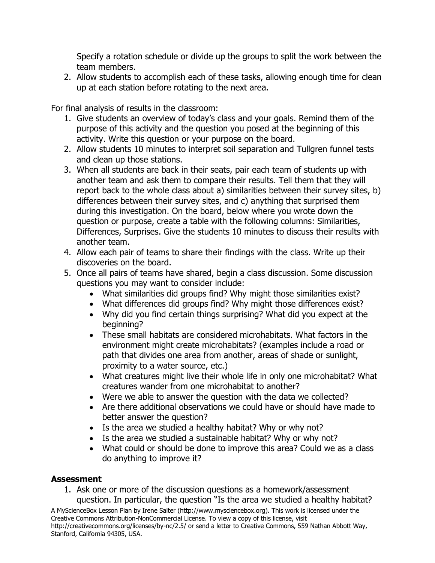Specify a rotation schedule or divide up the groups to split the work between the team members.

2. Allow students to accomplish each of these tasks, allowing enough time for clean up at each station before rotating to the next area.

For final analysis of results in the classroom:

- 1. Give students an overview of today's class and your goals. Remind them of the purpose of this activity and the question you posed at the beginning of this activity. Write this question or your purpose on the board.
- 2. Allow students 10 minutes to interpret soil separation and Tullgren funnel tests and clean up those stations.
- 3. When all students are back in their seats, pair each team of students up with another team and ask them to compare their results. Tell them that they will report back to the whole class about a) similarities between their survey sites, b) differences between their survey sites, and c) anything that surprised them during this investigation. On the board, below where you wrote down the question or purpose, create a table with the following columns: Similarities, Differences, Surprises. Give the students 10 minutes to discuss their results with another team.
- 4. Allow each pair of teams to share their findings with the class. Write up their discoveries on the board.
- 5. Once all pairs of teams have shared, begin a class discussion. Some discussion questions you may want to consider include:
	- What similarities did groups find? Why might those similarities exist?
	- What differences did groups find? Why might those differences exist?
	- Why did you find certain things surprising? What did you expect at the beginning?
	- These small habitats are considered microhabitats. What factors in the environment might create microhabitats? (examples include a road or path that divides one area from another, areas of shade or sunlight, proximity to a water source, etc.)
	- What creatures might live their whole life in only one microhabitat? What creatures wander from one microhabitat to another?
	- Were we able to answer the question with the data we collected?
	- Are there additional observations we could have or should have made to better answer the question?
	- Is the area we studied a healthy habitat? Why or why not?
	- Is the area we studied a sustainable habitat? Why or why not?
	- What could or should be done to improve this area? Could we as a class do anything to improve it?

### **Assessment**

1. Ask one or more of the discussion questions as a homework/assessment question. In particular, the question "Is the area we studied a healthy habitat?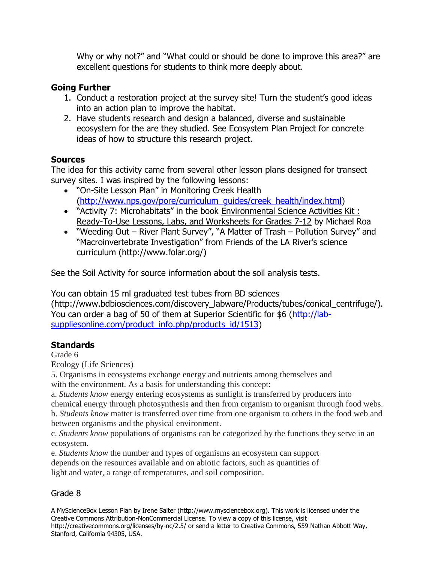Why or why not?" and "What could or should be done to improve this area?" are excellent questions for students to think more deeply about.

### **Going Further**

- 1. Conduct a restoration project at the survey site! Turn the student's good ideas into an action plan to improve the habitat.
- 2. Have students research and design a balanced, diverse and sustainable ecosystem for the are they studied. See Ecosystem Plan Project for concrete ideas of how to structure this research project.

### **Sources**

The idea for this activity came from several other lesson plans designed for transect survey sites. I was inspired by the following lessons:

- "On-Site Lesson Plan" in Monitoring Creek Health [\(http://www.nps.gov/pore/curriculum\\_guides/creek\\_health/index.html\)](http://www.nps.gov/pore/curriculum_guides/creek_health/index.html)
- "Activity 7: Microhabitats" in the book Environmental Science Activities Kit : Ready-To-Use Lessons, Labs, and Worksheets for Grades 7-12 by Michael Roa
- "Weeding Out River Plant Survey", "A Matter of Trash Pollution Survey" and "Macroinvertebrate Investigation" from Friends of the LA River's science curriculum (http://www.folar.org/)

See the Soil Activity for source information about the soil analysis tests.

You can obtain 15 ml graduated test tubes from BD sciences (http://www.bdbiosciences.com/discovery\_labware/Products/tubes/conical\_centrifuge/). You can order a bag of 50 of them at Superior Scientific for \$6 [\(http://lab](http://lab-suppliesonline.com/product_info.php/products_id/1513)[suppliesonline.com/product\\_info.php/products\\_id/1513\)](http://lab-suppliesonline.com/product_info.php/products_id/1513)

# **Standards**

Grade 6

Ecology (Life Sciences)

5. Organisms in ecosystems exchange energy and nutrients among themselves and with the environment. As a basis for understanding this concept:

a. *Students know* energy entering ecosystems as sunlight is transferred by producers into chemical energy through photosynthesis and then from organism to organism through food webs. b. *Students know* matter is transferred over time from one organism to others in the food web and

between organisms and the physical environment.

c. *Students know* populations of organisms can be categorized by the functions they serve in an ecosystem.

e. *Students know* the number and types of organisms an ecosystem can support depends on the resources available and on abiotic factors, such as quantities of light and water, a range of temperatures, and soil composition.

# Grade 8